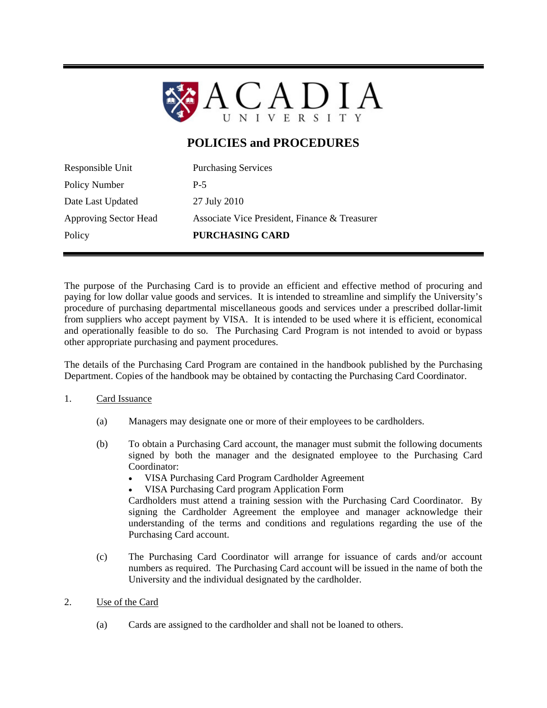

# **POLICIES and PROCEDURES**

| Responsible Unit      | <b>Purchasing Services</b>                    |
|-----------------------|-----------------------------------------------|
| Policy Number         | $P-5$                                         |
| Date Last Updated     | 27 July 2010                                  |
| Approving Sector Head | Associate Vice President, Finance & Treasurer |
| Policy                | PURCHASING CARD                               |

The purpose of the Purchasing Card is to provide an efficient and effective method of procuring and paying for low dollar value goods and services. It is intended to streamline and simplify the University's procedure of purchasing departmental miscellaneous goods and services under a prescribed dollar-limit from suppliers who accept payment by VISA. It is intended to be used where it is efficient, economical and operationally feasible to do so. The Purchasing Card Program is not intended to avoid or bypass other appropriate purchasing and payment procedures.

The details of the Purchasing Card Program are contained in the handbook published by the Purchasing Department. Copies of the handbook may be obtained by contacting the Purchasing Card Coordinator.

## 1. Card Issuance

- (a) Managers may designate one or more of their employees to be cardholders.
- (b) To obtain a Purchasing Card account, the manager must submit the following documents signed by both the manager and the designated employee to the Purchasing Card Coordinator:
	- VISA Purchasing Card Program Cardholder Agreement
	- VISA Purchasing Card program Application Form

Cardholders must attend a training session with the Purchasing Card Coordinator. By signing the Cardholder Agreement the employee and manager acknowledge their understanding of the terms and conditions and regulations regarding the use of the Purchasing Card account.

- (c) The Purchasing Card Coordinator will arrange for issuance of cards and/or account numbers as required. The Purchasing Card account will be issued in the name of both the University and the individual designated by the cardholder.
- 2. Use of the Card
	- (a) Cards are assigned to the cardholder and shall not be loaned to others.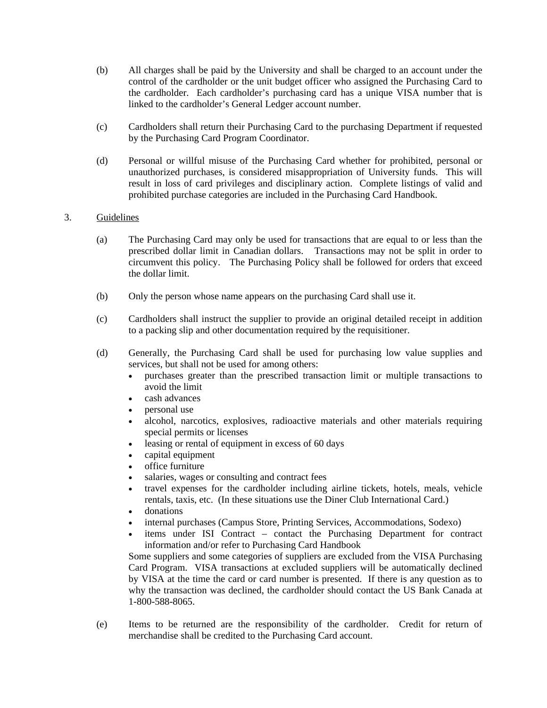- (b) All charges shall be paid by the University and shall be charged to an account under the control of the cardholder or the unit budget officer who assigned the Purchasing Card to the cardholder. Each cardholder's purchasing card has a unique VISA number that is linked to the cardholder's General Ledger account number.
- (c) Cardholders shall return their Purchasing Card to the purchasing Department if requested by the Purchasing Card Program Coordinator.
- (d) Personal or willful misuse of the Purchasing Card whether for prohibited, personal or unauthorized purchases, is considered misappropriation of University funds. This will result in loss of card privileges and disciplinary action. Complete listings of valid and prohibited purchase categories are included in the Purchasing Card Handbook.

## 3. Guidelines

- (a) The Purchasing Card may only be used for transactions that are equal to or less than the prescribed dollar limit in Canadian dollars. Transactions may not be split in order to circumvent this policy. The Purchasing Policy shall be followed for orders that exceed the dollar limit.
- (b) Only the person whose name appears on the purchasing Card shall use it.
- (c) Cardholders shall instruct the supplier to provide an original detailed receipt in addition to a packing slip and other documentation required by the requisitioner.
- (d) Generally, the Purchasing Card shall be used for purchasing low value supplies and services, but shall not be used for among others:
	- purchases greater than the prescribed transaction limit or multiple transactions to avoid the limit
	- cash advances
	- personal use
	- alcohol, narcotics, explosives, radioactive materials and other materials requiring special permits or licenses
	- leasing or rental of equipment in excess of 60 days
	- capital equipment
	- office furniture
	- salaries, wages or consulting and contract fees
	- travel expenses for the cardholder including airline tickets, hotels, meals, vehicle rentals, taxis, etc. (In these situations use the Diner Club International Card.)
	- donations
	- internal purchases (Campus Store, Printing Services, Accommodations, Sodexo)
	- items under ISI Contract contact the Purchasing Department for contract information and/or refer to Purchasing Card Handbook

Some suppliers and some categories of suppliers are excluded from the VISA Purchasing Card Program. VISA transactions at excluded suppliers will be automatically declined by VISA at the time the card or card number is presented. If there is any question as to why the transaction was declined, the cardholder should contact the US Bank Canada at 1-800-588-8065.

(e) Items to be returned are the responsibility of the cardholder. Credit for return of merchandise shall be credited to the Purchasing Card account.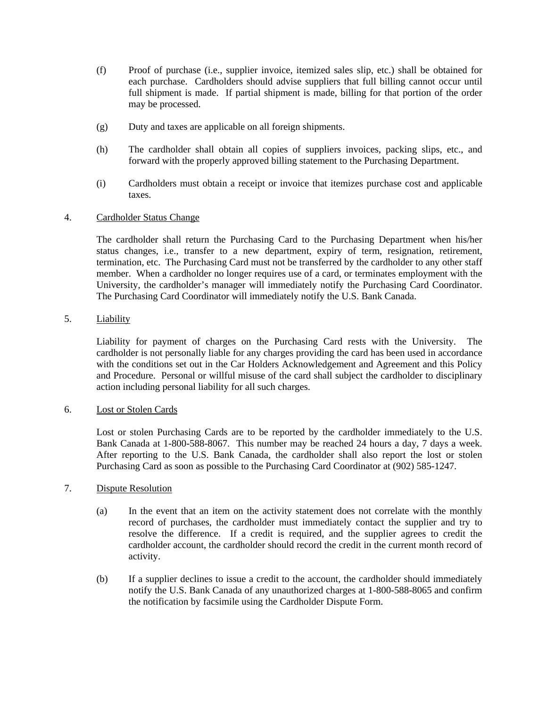- (f) Proof of purchase (i.e., supplier invoice, itemized sales slip, etc.) shall be obtained for each purchase. Cardholders should advise suppliers that full billing cannot occur until full shipment is made. If partial shipment is made, billing for that portion of the order may be processed.
- (g) Duty and taxes are applicable on all foreign shipments.
- (h) The cardholder shall obtain all copies of suppliers invoices, packing slips, etc., and forward with the properly approved billing statement to the Purchasing Department.
- (i) Cardholders must obtain a receipt or invoice that itemizes purchase cost and applicable taxes.

## 4. Cardholder Status Change

The cardholder shall return the Purchasing Card to the Purchasing Department when his/her status changes, i.e., transfer to a new department, expiry of term, resignation, retirement, termination, etc. The Purchasing Card must not be transferred by the cardholder to any other staff member. When a cardholder no longer requires use of a card, or terminates employment with the University, the cardholder's manager will immediately notify the Purchasing Card Coordinator. The Purchasing Card Coordinator will immediately notify the U.S. Bank Canada.

5. Liability

Liability for payment of charges on the Purchasing Card rests with the University. The cardholder is not personally liable for any charges providing the card has been used in accordance with the conditions set out in the Car Holders Acknowledgement and Agreement and this Policy and Procedure. Personal or willful misuse of the card shall subject the cardholder to disciplinary action including personal liability for all such charges.

#### 6. Lost or Stolen Cards

Lost or stolen Purchasing Cards are to be reported by the cardholder immediately to the U.S. Bank Canada at 1-800-588-8067. This number may be reached 24 hours a day, 7 days a week. After reporting to the U.S. Bank Canada, the cardholder shall also report the lost or stolen Purchasing Card as soon as possible to the Purchasing Card Coordinator at (902) 585-1247.

### 7. Dispute Resolution

- (a) In the event that an item on the activity statement does not correlate with the monthly record of purchases, the cardholder must immediately contact the supplier and try to resolve the difference. If a credit is required, and the supplier agrees to credit the cardholder account, the cardholder should record the credit in the current month record of activity.
- (b) If a supplier declines to issue a credit to the account, the cardholder should immediately notify the U.S. Bank Canada of any unauthorized charges at 1-800-588-8065 and confirm the notification by facsimile using the Cardholder Dispute Form.